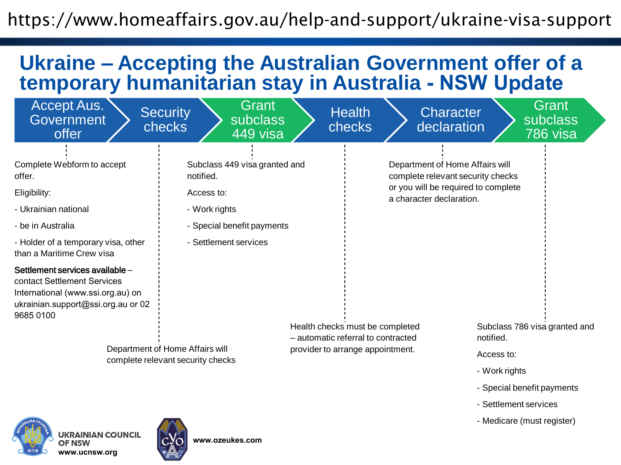## https://www.homeaffairs.gov.au/help-and-support/ukraine-visa-support

## **Ukraine – Accepting the Australian Government offer of a temporary humanitarian stay in Australia - NSW Update**

| Accept Aus.<br><b>Government</b><br>offer                                                                                                                             | Grant<br><b>Security</b><br>subclass<br><b>checks</b><br>449 visa                                                                | <b>Health</b><br>checks                                                                                   | <b>Character</b><br>declaration                                                                                                         | Grant<br><b>subclass</b><br>786 visa                                                                                             |
|-----------------------------------------------------------------------------------------------------------------------------------------------------------------------|----------------------------------------------------------------------------------------------------------------------------------|-----------------------------------------------------------------------------------------------------------|-----------------------------------------------------------------------------------------------------------------------------------------|----------------------------------------------------------------------------------------------------------------------------------|
| Complete Webform to accept<br>offer.<br>Eligibility:<br>- Ukrainian national<br>- be in Australia<br>- Holder of a temporary visa, other<br>than a Maritime Crew visa | Subclass 449 visa granted and<br>notified.<br>Access to:<br>- Work rights<br>- Special benefit payments<br>- Settlement services |                                                                                                           | Department of Home Affairs will<br>complete relevant security checks<br>or you will be required to complete<br>a character declaration. |                                                                                                                                  |
| Settlement services available -<br>contact Settlement Services<br>International (www.ssi.org.au) on<br>ukrainian.support@ssi.org.au or 02<br>9685 0100                | Department of Home Affairs will<br>complete relevant security checks                                                             | Health checks must be completed<br>- automatic referral to contracted<br>provider to arrange appointment. |                                                                                                                                         | Subclass 786 visa granted and<br>notified.<br>Access to:<br>- Work rights<br>- Special benefit payments<br>- Settlement services |

- Medicare (must register)





**www.ozeukes.com**